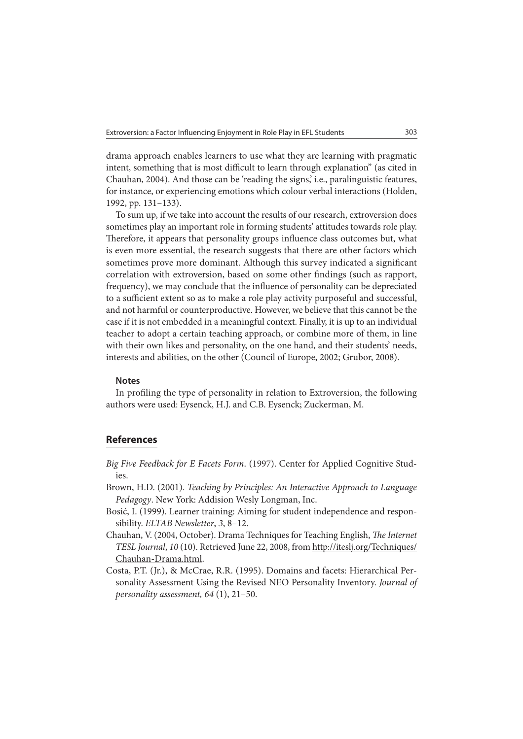drama approach enables learners to use what they are learning with pragmatic intent, something that is most difficult to learn through explanation" (as cited in Chauhan, 2004). And those can be 'reading the signs,' i.e., paralinguistic features, for instance, or experiencing emotions which colour verbal interactions (Holden, 1992, pp. 131–133).

To sum up, if we take into account the results of our research, extroversion does sometimes play an important role in forming students' attitudes towards role play. Therefore, it appears that personality groups influence class outcomes but, what is even more essential, the research suggests that there are other factors which sometimes prove more dominant. Although this survey indicated a significant correlation with extroversion, based on some other findings (such as rapport, frequency), we may conclude that the influence of personality can be depreciated to a sufficient extent so as to make a role play activity purposeful and successful, and not harmful or counterproductive. However, we believe that this cannot be the case if it is not embedded in a meaningful context. Finally, it is up to an individual teacher to adopt a certain teaching approach, or combine more of them, in line with their own likes and personality, on the one hand, and their students' needs, interests and abilities, on the other (Council of Europe, 2002; Grubor, 2008).

## **Notes**

In profiling the type of personality in relation to Extroversion, the following authors were used: Eysenck, H.J. and C.B. Eysenck; Zuckerman, M.

## **References**

Big Five Feedback for E Facets Form. (1997). Center for Applied Cognitive Studies.

- Brown, H.D. (2001). Teaching by Principles: An Interactive Approach to Language Pedagogy. New York: Addision Wesly Longman, Inc.
- Bosić, I. (1999). Learner training: Aiming for student independence and responsibility. ELTAB Newsletter, 3, 8–12.
- Chauhan, V. (2004, October). Drama Techniques for Teaching English, The Internet TESL Journal, 10 (10). Retrieved June 22, 2008, from http://iteslj.org/Techniques/ Chauhan-Drama.html.
- Costa, P.T. (Jr.), & McCrae, R.R. (1995). Domains and facets: Hierarchical Personality Assessment Using the Revised NEO Personality Inventory. Journal of personality assessment, 64 (1), 21–50.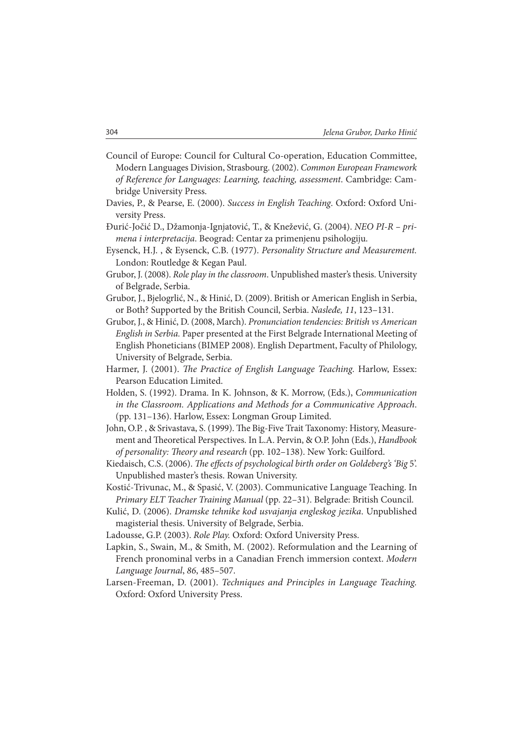- Council of Europe: Council for Cultural Co-operation, Education Committee, Modern Languages Division, Strasbourg. (2002). Common European Framework of Reference for Languages: Learning, teaching, assessment. Cambridge: Cambridge University Press.
- Davies, P., & Pearse, E. (2000). Success in English Teaching. Oxford: Oxford University Press.
- Đurić-Jočić D., Džamonja-Ignjatović, T., & Knežević, G. (2004). NEO PI-R primena i interpretacija. Beograd: Centar za primenjenu psihologiju.
- Eysenck, H.J. , & Eysenck, C.B. (1977). Personality Structure and Measurement. London: Routledge & Kegan Paul.
- Grubor, J. (2008). Role play in the classroom. Unpublished master's thesis. University of Belgrade, Serbia.
- Grubor, J., Bjelogrlić, N., & Hinić, D. (2009). British or American English in Serbia, or Both? Supported by the British Council, Serbia. Nasleđe, 11, 123–131.
- Grubor, J., & Hinić, D. (2008, March). Pronunciation tendencies: British vs American English in Serbia. Paper presented at the First Belgrade International Meeting of English Phoneticians (BIMEP 2008). English Department, Faculty of Philology, University of Belgrade, Serbia.
- Harmer, J. (2001). The Practice of English Language Teaching. Harlow, Essex: Pearson Education Limited.
- Holden, S. (1992). Drama. In K. Johnson, & K. Morrow, (Eds.), Communication in the Classroom. Applications and Methods for a Communicative Approach. (pp. 131–136). Harlow, Essex: Longman Group Limited.
- John, O.P., & Srivastava, S. (1999). The Big-Five Trait Taxonomy: History, Measurement and Theoretical Perspectives. In L.A. Pervin, & O.P. John (Eds.), Handbook of personality: Theory and research (pp. 102-138). New York: Guilford.
- Kiedaisch, C.S. (2006). The effects of psychological birth order on Goldeberg's 'Big 5'. Unpublished master's thesis. Rowan University.
- Kostić-Trivunac, M., & Spasić, V. (2003). Communicative Language Teaching. In Primary ELT Teacher Training Manual (pp. 22–31). Belgrade: British Council.
- Kulić, D. (2006). Dramske tehnike kod usvajanja engleskog jezika. Unpublished magisterial thesis. University of Belgrade, Serbia.
- Ladousse, G.P. (2003). Role Play. Oxford: Oxford University Press.
- Lapkin, S., Swain, M., & Smith, M. (2002). Reformulation and the Learning of French pronominal verbs in a Canadian French immersion context. Modern Language Journal, 86, 485–507.
- Larsen-Freeman, D. (2001). Techniques and Principles in Language Teaching. Oxford: Oxford University Press.